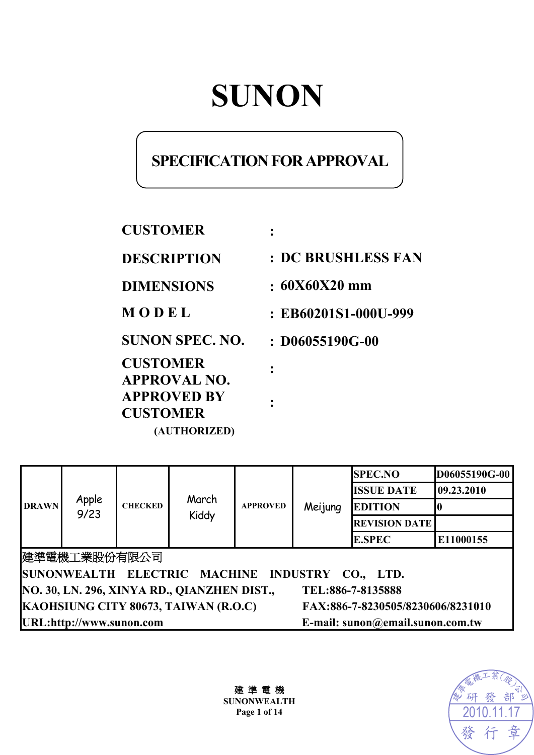# **SUNON**

# **SPECIFICATION FOR APPROVAL**

**CUSTOMER : DESCRIPTION : DC BRUSHLESS FAN DIMENSIONS : 60X60X20 mm M O D E L : EB60201S1-000U-999 SUNON SPEC. NO. : D06055190G-00 CUSTOMER APPROVAL NO. : APPROVED BY CUSTOMER : (AUTHORIZED)** 

| <b>DRAWN</b>                                                     | Apple<br>9/23 | <b>CHECKED</b> | March<br>Kiddy | <b>APPROVED</b>                  | Meijung                           | <b>SPEC.NO</b>       | D06055190G-00 |
|------------------------------------------------------------------|---------------|----------------|----------------|----------------------------------|-----------------------------------|----------------------|---------------|
|                                                                  |               |                |                |                                  |                                   | <b>ISSUE DATE</b>    | 09.23.2010    |
|                                                                  |               |                |                |                                  |                                   | <b>EDITION</b>       |               |
|                                                                  |               |                |                |                                  |                                   | <b>REVISION DATE</b> |               |
|                                                                  |               |                |                |                                  |                                   | <b>E.SPEC</b>        | E11000155     |
| 建準電機工業股份有限公司                                                     |               |                |                |                                  |                                   |                      |               |
| SUNONWEALTH ELECTRIC MACHINE INDUSTRY CO., LTD.                  |               |                |                |                                  |                                   |                      |               |
| NO. 30, LN. 296, XINYA RD., QIANZHEN DIST.,<br>TEL:886-7-8135888 |               |                |                |                                  |                                   |                      |               |
| KAOHSIUNG CITY 80673, TAIWAN (R.O.C)                             |               |                |                |                                  | FAX:886-7-8230505/8230606/8231010 |                      |               |
| URL:http://www.sunon.com                                         |               |                |                | E-mail: sunon@email.sunon.com.tw |                                   |                      |               |

建 準 電 機 **SUNONWEALTH** 

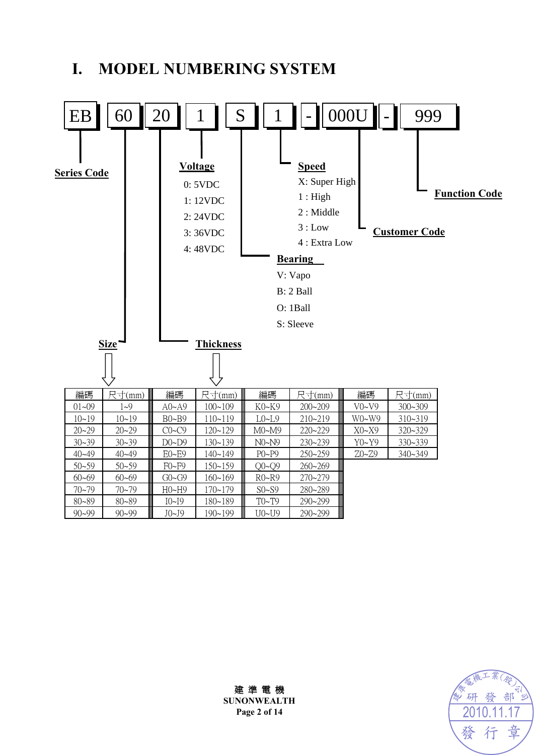# **I. MODEL NUMBERING SYSTEM**





建 準 電 機 **SUNONWEALTH**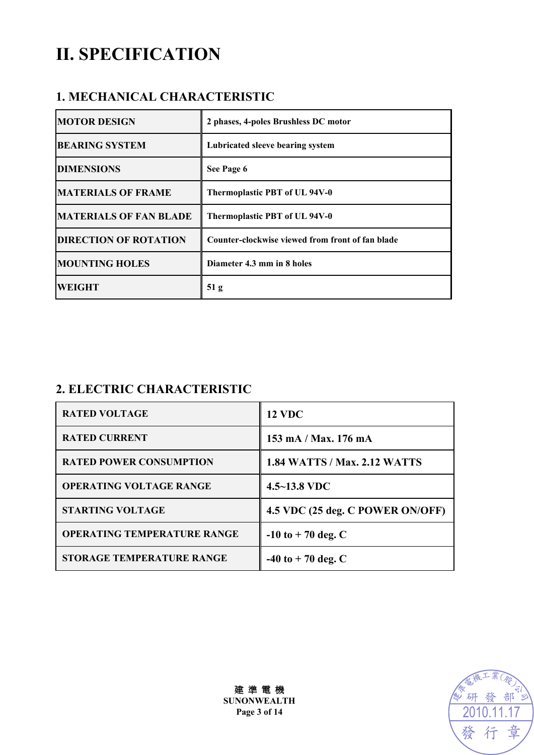# **II. SPECIFICATION**

### **1. MECHANICAL CHARACTERISTIC**

| <b>MOTOR DESIGN</b>           | 2 phases, 4-poles Brushless DC motor             |
|-------------------------------|--------------------------------------------------|
| <b>BEARING SYSTEM</b>         | Lubricated sleeve bearing system                 |
| <b>DIMENSIONS</b>             | See Page 6                                       |
| <b>MATERIALS OF FRAME</b>     | Thermoplastic PBT of UL 94V-0                    |
| <b>MATERIALS OF FAN BLADE</b> | Thermoplastic PBT of UL 94V-0                    |
| <b>DIRECTION OF ROTATION</b>  | Counter-clockwise viewed from front of fan blade |
| <b>MOUNTING HOLES</b>         | Diameter 4.3 mm in 8 holes                       |
| <b>WEIGHT</b>                 | 51 <sub>g</sub>                                  |

## **2. ELECTRIC CHARACTERISTIC**

| <b>RATED VOLTAGE</b>               | <b>12 VDC</b>                       |
|------------------------------------|-------------------------------------|
| <b>RATED CURRENT</b>               | 153 mA / Max. 176 mA                |
| <b>RATED POWER CONSUMPTION</b>     | <b>1.84 WATTS / Max. 2.12 WATTS</b> |
| <b>OPERATING VOLTAGE RANGE</b>     | $4.5 - 13.8$ VDC                    |
| <b>STARTING VOLTAGE</b>            | 4.5 VDC (25 deg. C POWER ON/OFF)    |
| <b>OPERATING TEMPERATURE RANGE</b> | $-10$ to $+70$ deg. C               |
| <b>STORAGE TEMPERATURE RANGE</b>   | $-40$ to $+70$ deg. C               |



建 準 電 機 **SUNONWEALTH Page 3 of 14**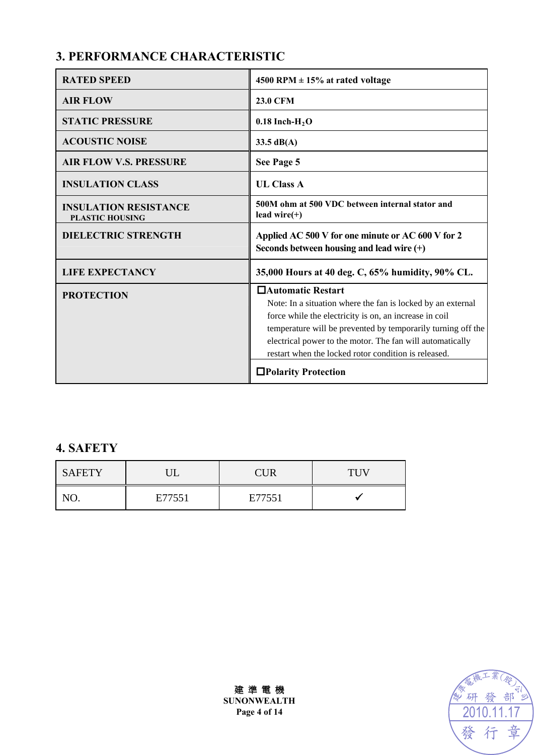# **3. PERFORMANCE CHARACTERISTIC**

| <b>RATED SPEED</b>                                     | 4500 RPM $\pm$ 15% at rated voltage                                                                                                                                                                                                                                                                                               |
|--------------------------------------------------------|-----------------------------------------------------------------------------------------------------------------------------------------------------------------------------------------------------------------------------------------------------------------------------------------------------------------------------------|
| <b>AIR FLOW</b>                                        | <b>23.0 CFM</b>                                                                                                                                                                                                                                                                                                                   |
| <b>STATIC PRESSURE</b>                                 | $0.18$ Inch-H <sub>2</sub> O                                                                                                                                                                                                                                                                                                      |
| <b>ACOUSTIC NOISE</b>                                  | 33.5 $dB(A)$                                                                                                                                                                                                                                                                                                                      |
| <b>AIR FLOW V.S. PRESSURE</b>                          | See Page 5                                                                                                                                                                                                                                                                                                                        |
| <b>INSULATION CLASS</b>                                | <b>UL Class A</b>                                                                                                                                                                                                                                                                                                                 |
| <b>INSULATION RESISTANCE</b><br><b>PLASTIC HOUSING</b> | 500M ohm at 500 VDC between internal stator and<br>lead wire $(+)$                                                                                                                                                                                                                                                                |
| <b>DIELECTRIC STRENGTH</b>                             | Applied AC 500 V for one minute or AC 600 V for 2<br>Seconds between housing and lead wire $(+)$                                                                                                                                                                                                                                  |
| <b>LIFE EXPECTANCY</b>                                 | 35,000 Hours at 40 deg. C, 65% humidity, 90% CL.                                                                                                                                                                                                                                                                                  |
| <b>PROTECTION</b>                                      | □ Automatic Restart<br>Note: In a situation where the fan is locked by an external<br>force while the electricity is on, an increase in coil<br>temperature will be prevented by temporarily turning off the<br>electrical power to the motor. The fan will automatically<br>restart when the locked rotor condition is released. |
|                                                        | □Polarity Protection                                                                                                                                                                                                                                                                                                              |

### **4. SAFETY**

| <b>SAFETY</b> |        | <b>CUR</b> | TUV |
|---------------|--------|------------|-----|
|               | E77551 | E77551     |     |



建 準 電 機 **SUNONWEALTH Page 4 of 14**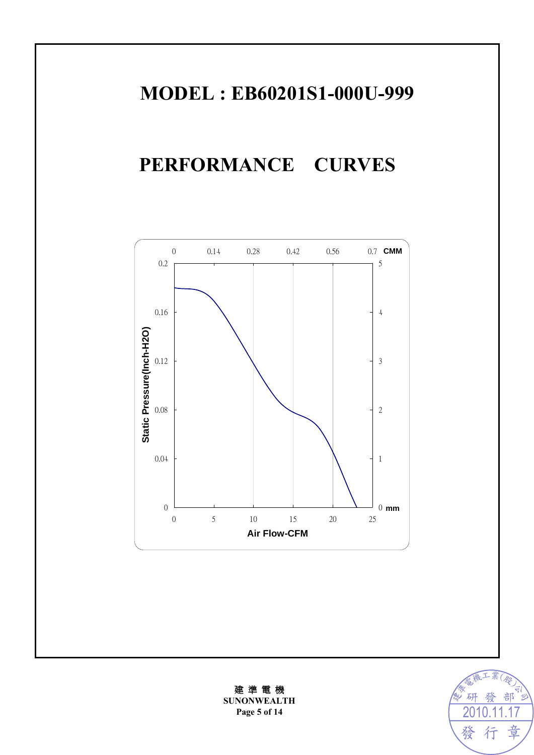# **MODEL : EB60201S1-000U-999**

# **PERFORMANCE CURVES**





建 準 電 機 **SUNONWEALTH**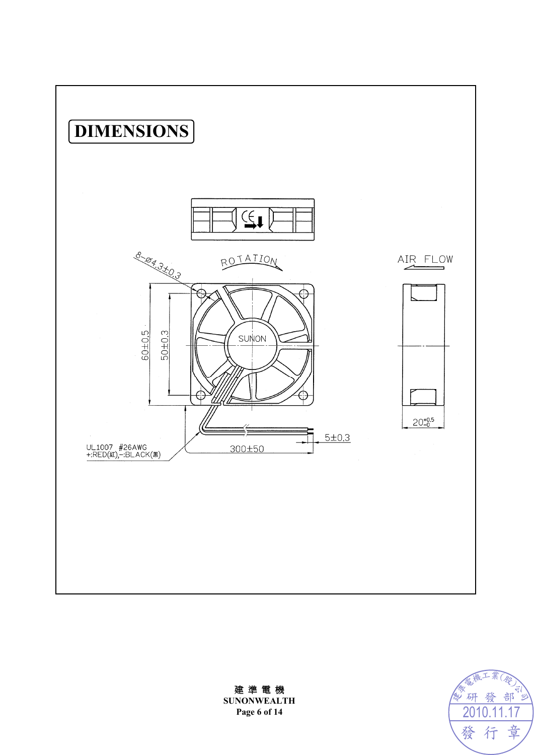



建 準 電 機 **SUNONWEALTH Page 6 of 14**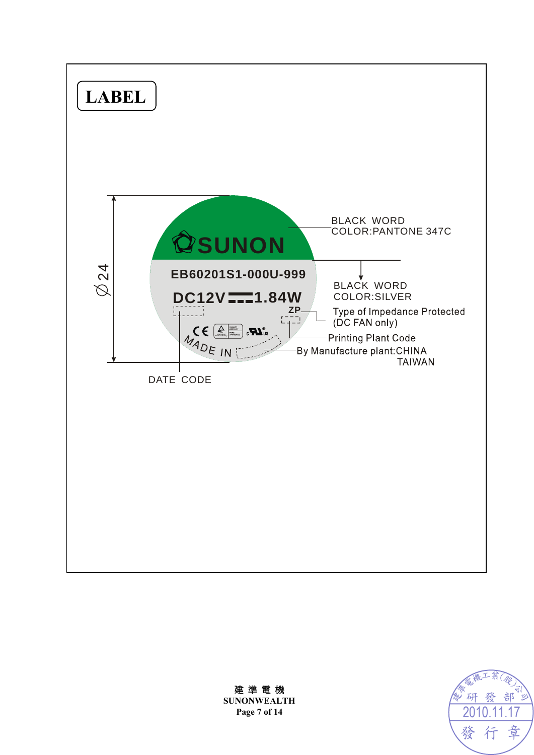



建 準 電 機 **SUNONWEALTH Page 7 of 14**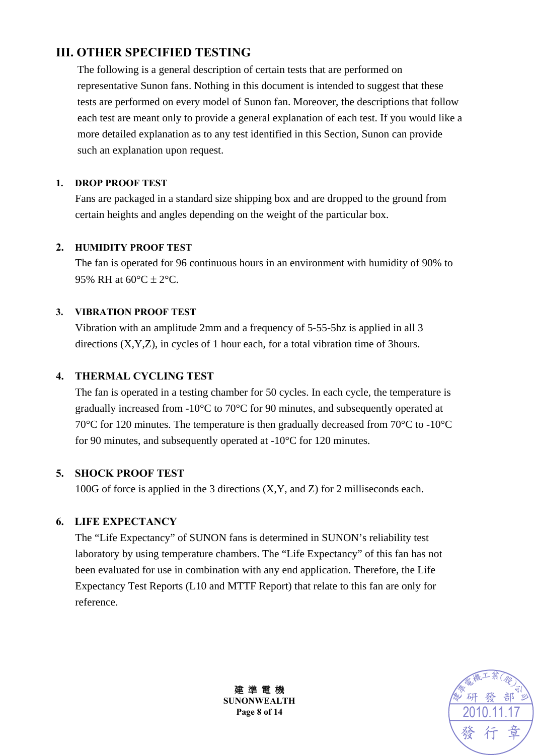## **III. OTHER SPECIFIED TESTING**

The following is a general description of certain tests that are performed on representative Sunon fans. Nothing in this document is intended to suggest that these tests are performed on every model of Sunon fan. Moreover, the descriptions that follow each test are meant only to provide a general explanation of each test. If you would like a more detailed explanation as to any test identified in this Section, Sunon can provide such an explanation upon request.

#### **1. DROP PROOF TEST**

Fans are packaged in a standard size shipping box and are dropped to the ground from certain heights and angles depending on the weight of the particular box.

#### **2. HUMIDITY PROOF TEST**

The fan is operated for 96 continuous hours in an environment with humidity of 90% to 95% RH at  $60^{\circ}$ C  $\pm$  2°C.

#### **3. VIBRATION PROOF TEST**

Vibration with an amplitude 2mm and a frequency of 5-55-5hz is applied in all 3 directions (X,Y,Z), in cycles of 1 hour each, for a total vibration time of 3hours.

#### **4. THERMAL CYCLING TEST**

The fan is operated in a testing chamber for 50 cycles. In each cycle, the temperature is gradually increased from -10°C to 70°C for 90 minutes, and subsequently operated at 70°C for 120 minutes. The temperature is then gradually decreased from 70°C to -10°C for 90 minutes, and subsequently operated at -10°C for 120 minutes.

#### **5. SHOCK PROOF TEST**

100G of force is applied in the 3 directions (X,Y, and Z) for 2 milliseconds each.

#### **6. LIFE EXPECTANCY**

The "Life Expectancy" of SUNON fans is determined in SUNON's reliability test laboratory by using temperature chambers. The "Life Expectancy" of this fan has not been evaluated for use in combination with any end application. Therefore, the Life Expectancy Test Reports (L10 and MTTF Report) that relate to this fan are only for reference.



建 準 電 機 **SUNONWEALTH Page 8 of 14**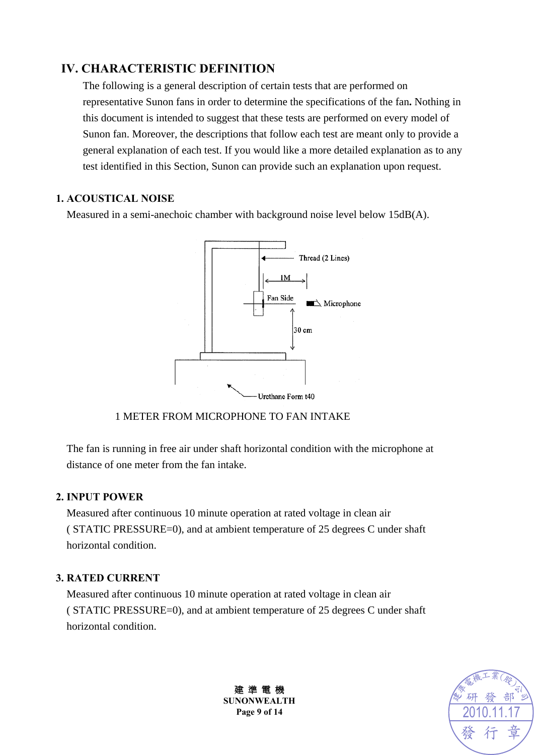### **IV. CHARACTERISTIC DEFINITION**

The following is a general description of certain tests that are performed on representative Sunon fans in order to determine the specifications of the fan**.** Nothing in this document is intended to suggest that these tests are performed on every model of Sunon fan. Moreover, the descriptions that follow each test are meant only to provide a general explanation of each test. If you would like a more detailed explanation as to any test identified in this Section, Sunon can provide such an explanation upon request.

#### **1. ACOUSTICAL NOISE**

Measured in a semi-anechoic chamber with background noise level below 15dB(A).



1 METER FROM MICROPHONE TO FAN INTAKE

The fan is running in free air under shaft horizontal condition with the microphone at distance of one meter from the fan intake.

#### **2. INPUT POWER**

Measured after continuous 10 minute operation at rated voltage in clean air ( STATIC PRESSURE=0), and at ambient temperature of 25 degrees C under shaft horizontal condition.

#### **3. RATED CURRENT**

Measured after continuous 10 minute operation at rated voltage in clean air ( STATIC PRESSURE=0), and at ambient temperature of 25 degrees C under shaft horizontal condition.



建 準 電 機 **SUNONWEALTH Page 9 of 14**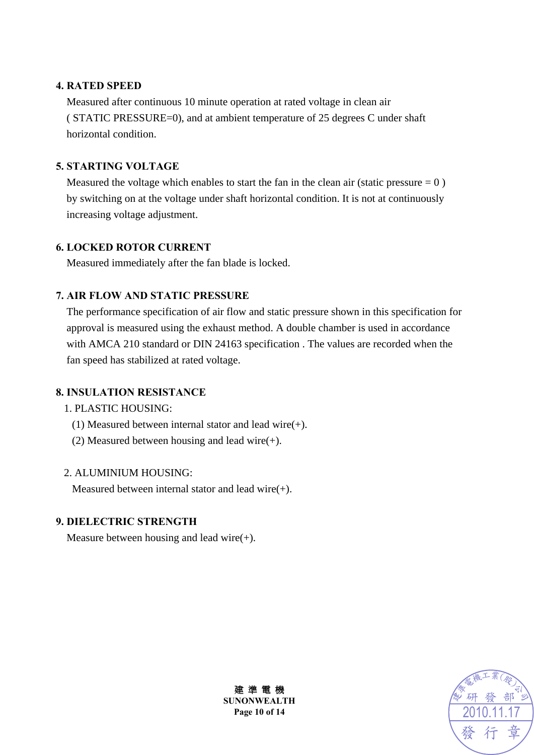#### **4. RATED SPEED**

Measured after continuous 10 minute operation at rated voltage in clean air ( STATIC PRESSURE=0), and at ambient temperature of 25 degrees C under shaft horizontal condition.

#### **5. STARTING VOLTAGE**

Measured the voltage which enables to start the fan in the clean air (static pressure  $= 0$ ) by switching on at the voltage under shaft horizontal condition. It is not at continuously increasing voltage adjustment.

#### **6. LOCKED ROTOR CURRENT**

Measured immediately after the fan blade is locked.

#### **7. AIR FLOW AND STATIC PRESSURE**

The performance specification of air flow and static pressure shown in this specification for approval is measured using the exhaust method. A double chamber is used in accordance with AMCA 210 standard or DIN 24163 specification . The values are recorded when the fan speed has stabilized at rated voltage.

#### **8. INSULATION RESISTANCE**

#### 1. PLASTIC HOUSING:

- (1) Measured between internal stator and lead wire(+).
- (2) Measured between housing and lead wire(+).

#### 2. ALUMINIUM HOUSING:

Measured between internal stator and lead wire(+).

#### **9. DIELECTRIC STRENGTH**

Measure between housing and lead wire $(+)$ .



建 準 電 機 **SUNONWEALTH Page 10 of 14**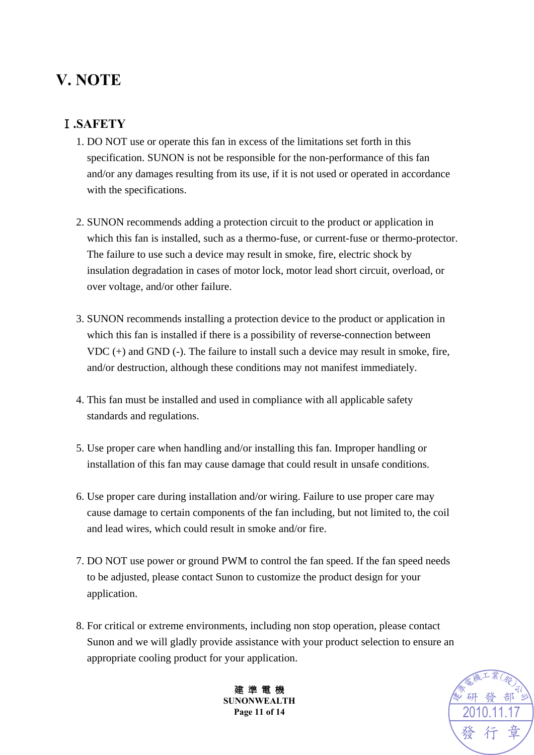# **V. NOTE**

# Ⅰ**.SAFETY**

- 1. DO NOT use or operate this fan in excess of the limitations set forth in this specification. SUNON is not be responsible for the non-performance of this fan and/or any damages resulting from its use, if it is not used or operated in accordance with the specifications.
- 2. SUNON recommends adding a protection circuit to the product or application in which this fan is installed, such as a thermo-fuse, or current-fuse or thermo-protector. The failure to use such a device may result in smoke, fire, electric shock by insulation degradation in cases of motor lock, motor lead short circuit, overload, or over voltage, and/or other failure.
- 3. SUNON recommends installing a protection device to the product or application in which this fan is installed if there is a possibility of reverse-connection between VDC (+) and GND (-). The failure to install such a device may result in smoke, fire, and/or destruction, although these conditions may not manifest immediately.
- 4. This fan must be installed and used in compliance with all applicable safety standards and regulations.
- 5. Use proper care when handling and/or installing this fan. Improper handling or installation of this fan may cause damage that could result in unsafe conditions.
- 6. Use proper care during installation and/or wiring. Failure to use proper care may cause damage to certain components of the fan including, but not limited to, the coil and lead wires, which could result in smoke and/or fire.
- 7. DO NOT use power or ground PWM to control the fan speed. If the fan speed needs to be adjusted, please contact Sunon to customize the product design for your application.
- 8. For critical or extreme environments, including non stop operation, please contact Sunon and we will gladly provide assistance with your product selection to ensure an appropriate cooling product for your application.



建 準 電 機 **SUNONWEALTH Page 11 of 14**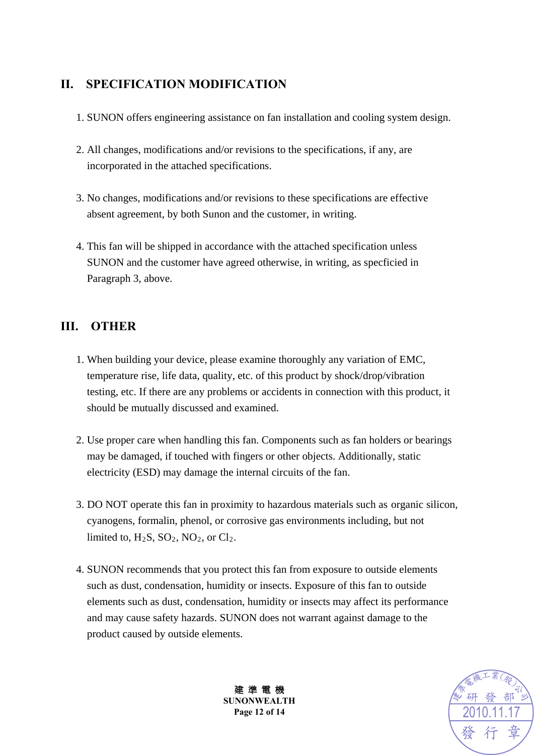### **II. SPECIFICATION MODIFICATION**

- 1. SUNON offers engineering assistance on fan installation and cooling system design.
- 2. All changes, modifications and/or revisions to the specifications, if any, are incorporated in the attached specifications.
- 3. No changes, modifications and/or revisions to these specifications are effective absent agreement, by both Sunon and the customer, in writing.
- 4. This fan will be shipped in accordance with the attached specification unless SUNON and the customer have agreed otherwise, in writing, as specficied in Paragraph 3, above.

## **III. OTHER**

- 1. When building your device, please examine thoroughly any variation of EMC, temperature rise, life data, quality, etc. of this product by shock/drop/vibration testing, etc. If there are any problems or accidents in connection with this product, it should be mutually discussed and examined.
- 2. Use proper care when handling this fan. Components such as fan holders or bearings may be damaged, if touched with fingers or other objects. Additionally, static electricity (ESD) may damage the internal circuits of the fan.
- 3. DO NOT operate this fan in proximity to hazardous materials such as organic silicon, cyanogens, formalin, phenol, or corrosive gas environments including, but not limited to,  $H_2S$ ,  $SO_2$ ,  $NO_2$ , or  $Cl_2$ .
- 4. SUNON recommends that you protect this fan from exposure to outside elements such as dust, condensation, humidity or insects. Exposure of this fan to outside elements such as dust, condensation, humidity or insects may affect its performance and may cause safety hazards. SUNON does not warrant against damage to the product caused by outside elements.



建 準 電 機 **SUNONWEALTH Page 12 of 14**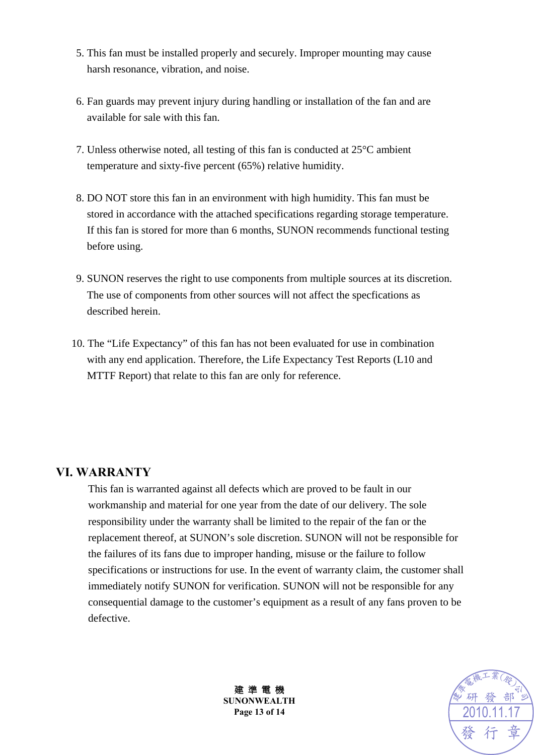- 5. This fan must be installed properly and securely. Improper mounting may cause harsh resonance, vibration, and noise.
- 6. Fan guards may prevent injury during handling or installation of the fan and are available for sale with this fan.
- 7. Unless otherwise noted, all testing of this fan is conducted at 25°C ambient temperature and sixty-five percent (65%) relative humidity.
- 8. DO NOT store this fan in an environment with high humidity. This fan must be stored in accordance with the attached specifications regarding storage temperature. If this fan is stored for more than 6 months, SUNON recommends functional testing before using.
- 9. SUNON reserves the right to use components from multiple sources at its discretion. The use of components from other sources will not affect the specfications as described herein.
- 10. The "Life Expectancy" of this fan has not been evaluated for use in combination with any end application. Therefore, the Life Expectancy Test Reports (L10 and MTTF Report) that relate to this fan are only for reference.

### **VI. WARRANTY**

This fan is warranted against all defects which are proved to be fault in our workmanship and material for one year from the date of our delivery. The sole responsibility under the warranty shall be limited to the repair of the fan or the replacement thereof, at SUNON's sole discretion. SUNON will not be responsible for the failures of its fans due to improper handing, misuse or the failure to follow specifications or instructions for use. In the event of warranty claim, the customer shall immediately notify SUNON for verification. SUNON will not be responsible for any consequential damage to the customer's equipment as a result of any fans proven to be defective.



建 準 電 機 **SUNONWEALTH Page 13 of 14**